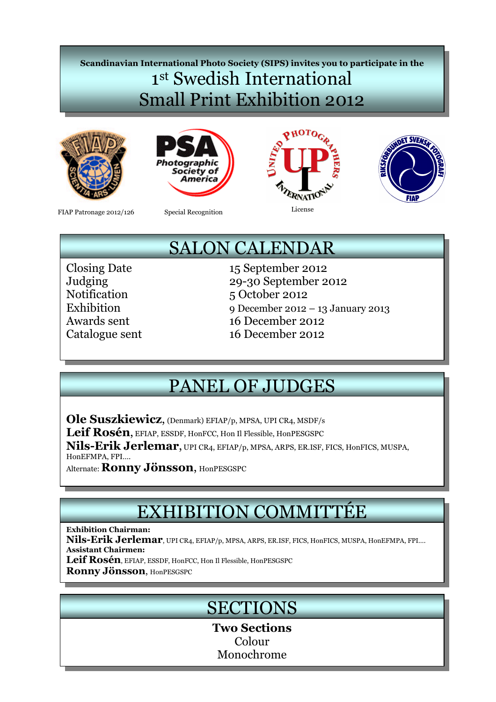## Scandinavian International Photo Society (SIPS) invites you to participate in the 1 st Swedish International Small Print Exhibition 2012









FIAP Patronage 2012/126 Special Recognition License

Special Recognition

# SALON CALENDAR

Closing Date 15 September 2012<br>Judging 29-30 September 2 29-30 September 2012 Notification 5 October 2012 Exhibition 9 December 2012 – 13 January 2013 Awards sent 16 December 2012 Catalogue sent 16 December 2012

# PANEL OF JUDGES

Ole Suszkiewicz, (Denmark) EFIAP/p, MPSA, UPI CR4, MSDF/s

Leif Rosén, EFIAP, ESSDF, HonFCC, Hon Il Flessible, HonPESGSPC

Nils-Erik Jerlemar, UPI CR4, EFIAP/p, MPSA, ARPS, ER.ISF, FICS, HonFICS, MUSPA, HonEFMPA, FPI….

Alternate: Ronny Jönsson, HonPESGSPC

# EXHIBITION COMMITTÉE

Exhibition Chairman:

Nils-Erik Jerlemar, UPI CR4, EFIAP/p, MPSA, ARPS, ER.ISF, FICS, HonFICS, MUSPA, HonEFMPA, FPI.... Assistant Chairmen:

Leif Rosén, EFIAP, ESSDF, HonFCC, Hon Il Flessible, HonPESGSPC

Ronny Jönsson, HonPESGSPC

# **SECTIONS**

Two Sections Colour Monochrome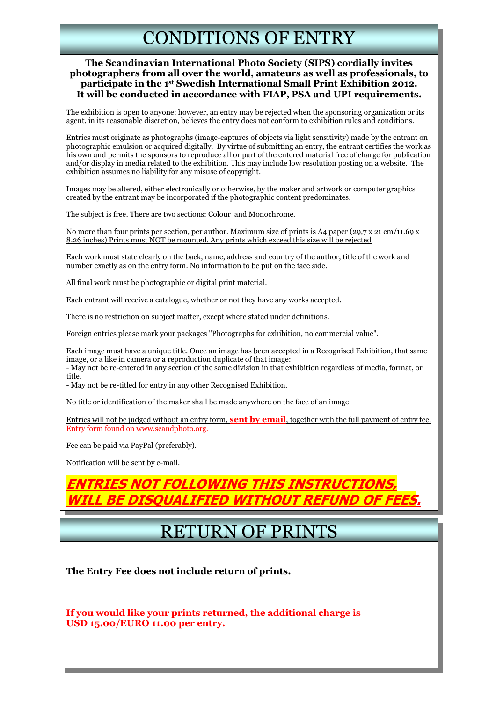## CONDITIONS OF ENTRY

#### The Scandinavian International Photo Society (SIPS) cordially invites photographers from all over the world, amateurs as well as professionals, to participate in the 1st Swedish International Small Print Exhibition 2012. It will be conducted in accordance with FIAP, PSA and UPI requirements.

The exhibition is open to anyone; however, an entry may be rejected when the sponsoring organization or its agent, in its reasonable discretion, believes the entry does not conform to exhibition rules and conditions.

Entries must originate as photographs (image-captures of objects via light sensitivity) made by the entrant on photographic emulsion or acquired digitally. By virtue of submitting an entry, the entrant certifies the work as his own and permits the sponsors to reproduce all or part of the entered material free of charge for publication and/or display in media related to the exhibition. This may include low resolution posting on a website. The exhibition assumes no liability for any misuse of copyright.

Images may be altered, either electronically or otherwise, by the maker and artwork or computer graphics created by the entrant may be incorporated if the photographic content predominates.

The subject is free. There are two sections: Colour and Monochrome.

No more than four prints per section, per author. Maximum size of prints is A4 paper (29,7 x 21 cm/11.69 x 8.26 inches) Prints must NOT be mounted. Any prints which exceed this size will be rejected

Each work must state clearly on the back, name, address and country of the author, title of the work and number exactly as on the entry form. No information to be put on the face side.

All final work must be photographic or digital print material.

Each entrant will receive a catalogue, whether or not they have any works accepted.

There is no restriction on subject matter, except where stated under definitions.

Foreign entries please mark your packages "Photographs for exhibition, no commercial value".

Each image must have a unique title. Once an image has been accepted in a Recognised Exhibition, that same image, or a like in camera or a reproduction duplicate of that image:

- May not be re-entered in any section of the same division in that exhibition regardless of media, format, or title.

- May not be re-titled for entry in any other Recognised Exhibition.

No title or identification of the maker shall be made anywhere on the face of an image

Entries will not be judged without an entry form, **sent by email**, together with the full payment of entry fee. Entry form found on www.scandphoto.org.

Fee can be paid via PayPal (preferably).

Notification will be sent by e-mail.

### EOI I OWING THIS WILL BE DISQUALIFIED WITHOUT REFUND OF FEES.

## RETURN OF PRINTS

The Entry Fee does not include return of prints.

If you would like your prints returned, the additional charge is USD 15.00/EURO 11.00 per entry.